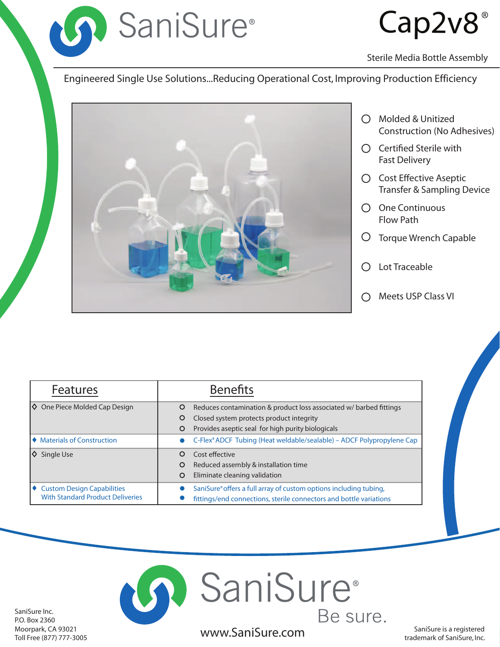

# Cap2v8

Sterile Media Bottle Assembly

Engineered Single Use Solutions...Reducing Operational Cost, Improving Production Efficiency



- $\bigcirc$  Molded & Unitized Construction (No Adhesives)
- $\bigcirc$  Certified Sterile with Fast Delivery
- $\bigcirc$  Cost Effective Aseptic Transfer & Sampling Device
- One Continuous Flow Path
- Torque Wrench Capable
- Lot Traceable
- Meets USP Class VI

| <b>Features</b>                           | <b>Benefits</b>                                                              |  |  |
|-------------------------------------------|------------------------------------------------------------------------------|--|--|
| $\Diamond$ One Piece Molded Cap Design    | Reduces contamination & product loss associated w/barbed fittings<br>$\circ$ |  |  |
|                                           | Closed system protects product integrity<br>$\circ$                          |  |  |
|                                           | Provides aseptic seal for high purity biologicals<br>O                       |  |  |
| $\blacklozenge$ Materials of Construction | C-Flex® ADCF Tubing (Heat weldable/sealable) - ADCF Polypropylene Cap        |  |  |
| $\Diamond$ Single Use                     | Cost effective<br>$\Omega$                                                   |  |  |
|                                           | Reduced assembly & installation time<br>$\circ$                              |  |  |
|                                           | Eliminate cleaning validation<br>O                                           |  |  |
| ♦ Custom Design Capabilities              | SaniSure® offers a full array of custom options including tubing,            |  |  |
| <b>With Standard Product Deliveries</b>   | fittings/end connections, sterile connectors and bottle variations           |  |  |



SaniSure Inc. P.O. Box 2360 Moorpark, CA 93021 Toll Free (877) 777-3005